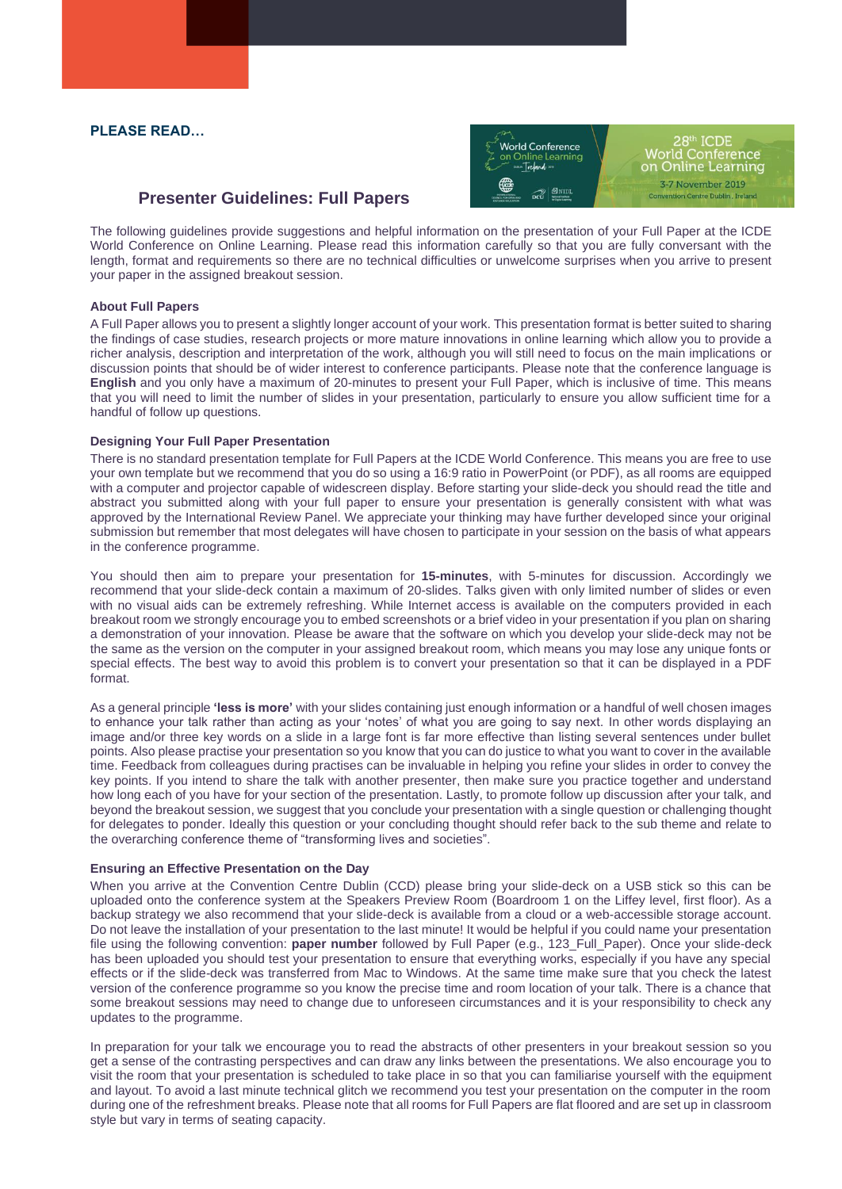## **PLEASE READ…**



# **Presenter Guidelines: Full Papers**

The following guidelines provide suggestions and helpful information on the presentation of your Full Paper at the ICDE World Conference on Online Learning. Please read this information carefully so that you are fully conversant with the length, format and requirements so there are no technical difficulties or unwelcome surprises when you arrive to present your paper in the assigned breakout session.

### **About Full Papers**

A Full Paper allows you to present a slightly longer account of your work. This presentation format is better suited to sharing the findings of case studies, research projects or more mature innovations in online learning which allow you to provide a richer analysis, description and interpretation of the work, although you will still need to focus on the main implications or discussion points that should be of wider interest to conference participants. Please note that the conference language is **English** and you only have a maximum of 20-minutes to present your Full Paper, which is inclusive of time. This means that you will need to limit the number of slides in your presentation, particularly to ensure you allow sufficient time for a handful of follow up questions.

### **Designing Your Full Paper Presentation**

There is no standard presentation template for Full Papers at the ICDE World Conference. This means you are free to use your own template but we recommend that you do so using a 16:9 ratio in PowerPoint (or PDF), as all rooms are equipped with a computer and projector capable of widescreen display. Before starting your slide-deck you should read the title and abstract you submitted along with your full paper to ensure your presentation is generally consistent with what was approved by the International Review Panel. We appreciate your thinking may have further developed since your original submission but remember that most delegates will have chosen to participate in your session on the basis of what appears in the conference programme.

You should then aim to prepare your presentation for **15-minutes**, with 5-minutes for discussion. Accordingly we recommend that your slide-deck contain a maximum of 20-slides. Talks given with only limited number of slides or even with no visual aids can be extremely refreshing. While Internet access is available on the computers provided in each breakout room we strongly encourage you to embed screenshots or a brief video in your presentation if you plan on sharing a demonstration of your innovation. Please be aware that the software on which you develop your slide-deck may not be the same as the version on the computer in your assigned breakout room, which means you may lose any unique fonts or special effects. The best way to avoid this problem is to convert your presentation so that it can be displayed in a PDF format.

As a general principle **'less is more'** with your slides containing just enough information or a handful of well chosen images to enhance your talk rather than acting as your 'notes' of what you are going to say next. In other words displaying an image and/or three key words on a slide in a large font is far more effective than listing several sentences under bullet points. Also please practise your presentation so you know that you can do justice to what you want to cover in the available time. Feedback from colleagues during practises can be invaluable in helping you refine your slides in order to convey the key points. If you intend to share the talk with another presenter, then make sure you practice together and understand how long each of you have for your section of the presentation. Lastly, to promote follow up discussion after your talk, and beyond the breakout session, we suggest that you conclude your presentation with a single question or challenging thought for delegates to ponder. Ideally this question or your concluding thought should refer back to the sub theme and relate to the overarching conference theme of "transforming lives and societies".

#### **Ensuring an Effective Presentation on the Day**

When you arrive at the Convention Centre Dublin (CCD) please bring your slide-deck on a USB stick so this can be uploaded onto the conference system at the Speakers Preview Room (Boardroom 1 on the Liffey level, first floor). As a backup strategy we also recommend that your slide-deck is available from a cloud or a web-accessible storage account. Do not leave the installation of your presentation to the last minute! It would be helpful if you could name your presentation file using the following convention: **paper number** followed by Full Paper (e.g., 123\_Full\_Paper). Once your slide-deck has been uploaded you should test your presentation to ensure that everything works, especially if you have any special effects or if the slide-deck was transferred from Mac to Windows. At the same time make sure that you check the latest version of the conference programme so you know the precise time and room location of your talk. There is a chance that some breakout sessions may need to change due to unforeseen circumstances and it is your responsibility to check any updates to the programme.

In preparation for your talk we encourage you to read the abstracts of other presenters in your breakout session so you get a sense of the contrasting perspectives and can draw any links between the presentations. We also encourage you to visit the room that your presentation is scheduled to take place in so that you can familiarise yourself with the equipment and layout. To avoid a last minute technical glitch we recommend you test your presentation on the computer in the room during one of the refreshment breaks. Please note that all rooms for Full Papers are flat floored and are set up in classroom style but vary in terms of seating capacity.